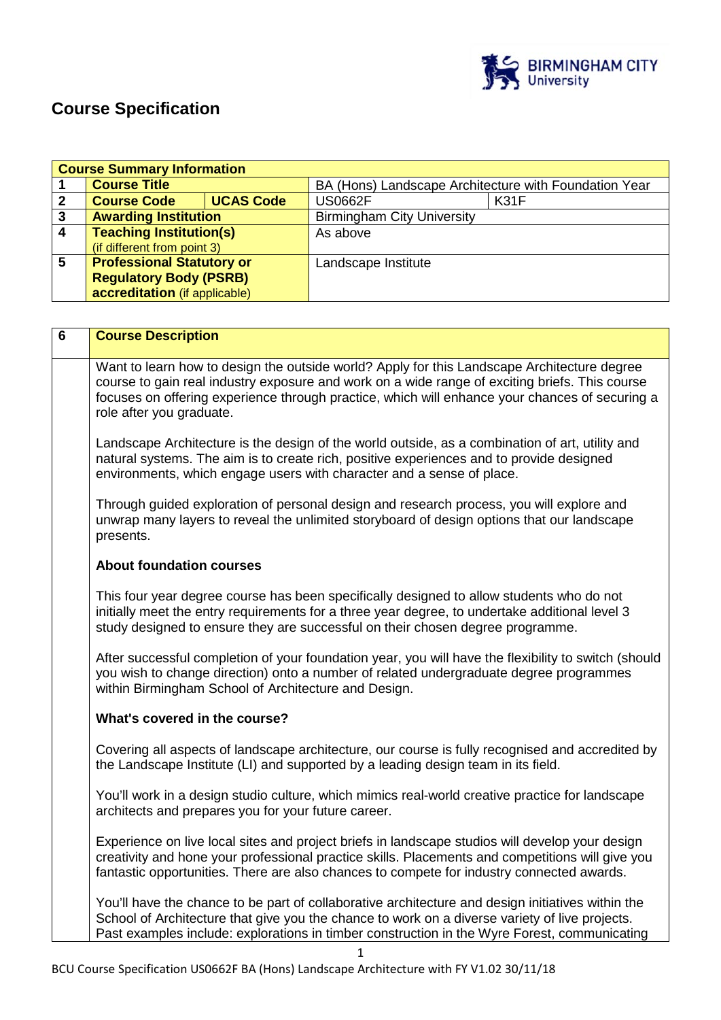

# **Course Specification**

|                         | <b>Course Summary Information</b>                                                                                                                                                                                                                                                                                                                                                                                              |                                                                                                                                                                                                                                                                                                  |  |
|-------------------------|--------------------------------------------------------------------------------------------------------------------------------------------------------------------------------------------------------------------------------------------------------------------------------------------------------------------------------------------------------------------------------------------------------------------------------|--------------------------------------------------------------------------------------------------------------------------------------------------------------------------------------------------------------------------------------------------------------------------------------------------|--|
| 1                       | <b>Course Title</b>                                                                                                                                                                                                                                                                                                                                                                                                            | BA (Hons) Landscape Architecture with Foundation Year                                                                                                                                                                                                                                            |  |
| $\overline{\mathbf{2}}$ | <b>Course Code</b><br><b>UCAS Code</b>                                                                                                                                                                                                                                                                                                                                                                                         | <b>US0662F</b><br><b>K31F</b>                                                                                                                                                                                                                                                                    |  |
| $\overline{\mathbf{3}}$ | <b>Awarding Institution</b>                                                                                                                                                                                                                                                                                                                                                                                                    | <b>Birmingham City University</b>                                                                                                                                                                                                                                                                |  |
| $\overline{4}$          | <b>Teaching Institution(s)</b>                                                                                                                                                                                                                                                                                                                                                                                                 | As above                                                                                                                                                                                                                                                                                         |  |
|                         | (if different from point 3)                                                                                                                                                                                                                                                                                                                                                                                                    |                                                                                                                                                                                                                                                                                                  |  |
| 5                       | <b>Professional Statutory or</b>                                                                                                                                                                                                                                                                                                                                                                                               | Landscape Institute                                                                                                                                                                                                                                                                              |  |
|                         | <b>Regulatory Body (PSRB)</b>                                                                                                                                                                                                                                                                                                                                                                                                  |                                                                                                                                                                                                                                                                                                  |  |
|                         | accreditation (if applicable)                                                                                                                                                                                                                                                                                                                                                                                                  |                                                                                                                                                                                                                                                                                                  |  |
|                         |                                                                                                                                                                                                                                                                                                                                                                                                                                |                                                                                                                                                                                                                                                                                                  |  |
| 6                       | <b>Course Description</b>                                                                                                                                                                                                                                                                                                                                                                                                      |                                                                                                                                                                                                                                                                                                  |  |
|                         |                                                                                                                                                                                                                                                                                                                                                                                                                                |                                                                                                                                                                                                                                                                                                  |  |
|                         | Want to learn how to design the outside world? Apply for this Landscape Architecture degree<br>course to gain real industry exposure and work on a wide range of exciting briefs. This course<br>focuses on offering experience through practice, which will enhance your chances of securing a<br>role after you graduate.<br>Landscape Architecture is the design of the world outside, as a combination of art, utility and |                                                                                                                                                                                                                                                                                                  |  |
|                         | environments, which engage users with character and a sense of place.                                                                                                                                                                                                                                                                                                                                                          | natural systems. The aim is to create rich, positive experiences and to provide designed                                                                                                                                                                                                         |  |
|                         | Through guided exploration of personal design and research process, you will explore and<br>unwrap many layers to reveal the unlimited storyboard of design options that our landscape<br>presents.                                                                                                                                                                                                                            |                                                                                                                                                                                                                                                                                                  |  |
|                         | <b>About foundation courses</b>                                                                                                                                                                                                                                                                                                                                                                                                |                                                                                                                                                                                                                                                                                                  |  |
|                         | This four year degree course has been specifically designed to allow students who do not<br>initially meet the entry requirements for a three year degree, to undertake additional level 3<br>study designed to ensure they are successful on their chosen degree programme.                                                                                                                                                   |                                                                                                                                                                                                                                                                                                  |  |
|                         | After successful completion of your foundation year, you will have the flexibility to switch (should<br>you wish to change direction) onto a number of related undergraduate degree programmes<br>within Birmingham School of Architecture and Design.                                                                                                                                                                         |                                                                                                                                                                                                                                                                                                  |  |
|                         | What's covered in the course?                                                                                                                                                                                                                                                                                                                                                                                                  |                                                                                                                                                                                                                                                                                                  |  |
|                         | Covering all aspects of landscape architecture, our course is fully recognised and accredited by<br>the Landscape Institute (LI) and supported by a leading design team in its field.                                                                                                                                                                                                                                          |                                                                                                                                                                                                                                                                                                  |  |
|                         | You'll work in a design studio culture, which mimics real-world creative practice for landscape<br>architects and prepares you for your future career.                                                                                                                                                                                                                                                                         |                                                                                                                                                                                                                                                                                                  |  |
|                         |                                                                                                                                                                                                                                                                                                                                                                                                                                | Experience on live local sites and project briefs in landscape studios will develop your design<br>creativity and hone your professional practice skills. Placements and competitions will give you<br>fantastic opportunities. There are also chances to compete for industry connected awards. |  |
|                         | You'll have the chance to be part of collaborative architecture and design initiatives within the<br>School of Architecture that give you the chance to work on a diverse variety of live projects.<br>Past examples include: explorations in timber construction in the Wyre Forest, communicating                                                                                                                            |                                                                                                                                                                                                                                                                                                  |  |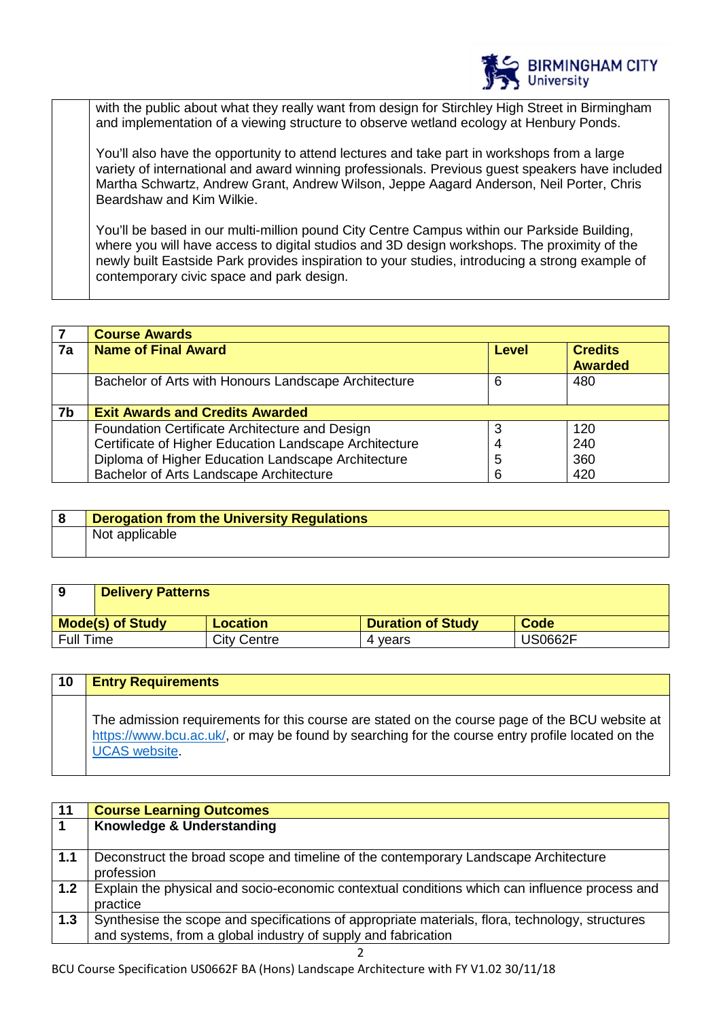

with the public about what they really want from design for Stirchley High Street in Birmingham and implementation of a viewing structure to observe wetland ecology at Henbury Ponds.

You'll also have the opportunity to attend lectures and take part in workshops from a large variety of international and award winning professionals. Previous guest speakers have included Martha Schwartz, Andrew Grant, Andrew Wilson, Jeppe Aagard Anderson, Neil Porter, Chris Beardshaw and Kim Wilkie.

You'll be based in our multi-million pound City Centre Campus within our Parkside Building, where you will have access to digital studios and 3D design workshops. The proximity of the newly built Eastside Park provides inspiration to your studies, introducing a strong example of contemporary civic space and park design.

|    | <b>Course Awards</b>                                   |       |                |
|----|--------------------------------------------------------|-------|----------------|
| 7a | <b>Name of Final Award</b>                             | Level | <b>Credits</b> |
|    |                                                        |       | <b>Awarded</b> |
|    | Bachelor of Arts with Honours Landscape Architecture   | 6     | 480            |
| 7b | <b>Exit Awards and Credits Awarded</b>                 |       |                |
|    | Foundation Certificate Architecture and Design         | 3     | 120            |
|    | Certificate of Higher Education Landscape Architecture |       | 240            |
|    | Diploma of Higher Education Landscape Architecture     | 5     | 360            |
|    | Bachelor of Arts Landscape Architecture                | 6     | 420            |

| <b>Derogation from the University Regulations</b> |
|---------------------------------------------------|
| Not applicable                                    |

|                  | <b>Delivery Patterns</b> |                    |                          |                |
|------------------|--------------------------|--------------------|--------------------------|----------------|
|                  | <b>Mode(s) of Study</b>  | Location           | <b>Duration of Study</b> | <b>Code</b>    |
| <b>Full Time</b> |                          | <b>City Centre</b> | 4 vears                  | <b>US0662F</b> |

| 10 | <b>Entry Requirements</b>                                                                                                                                                                                                  |
|----|----------------------------------------------------------------------------------------------------------------------------------------------------------------------------------------------------------------------------|
|    | The admission requirements for this course are stated on the course page of the BCU website at<br>https://www.bcu.ac.uk/, or may be found by searching for the course entry profile located on the<br><b>UCAS</b> website. |

| 11             | <b>Course Learning Outcomes</b>                                                                 |
|----------------|-------------------------------------------------------------------------------------------------|
| $\overline{1}$ | Knowledge & Understanding                                                                       |
|                |                                                                                                 |
| 1.1            | Deconstruct the broad scope and timeline of the contemporary Landscape Architecture             |
|                | profession                                                                                      |
| $1.2$          | Explain the physical and socio-economic contextual conditions which can influence process and   |
|                | practice                                                                                        |
| 1.3            | Synthesise the scope and specifications of appropriate materials, flora, technology, structures |
|                | and systems, from a global industry of supply and fabrication                                   |

 $\overline{2}$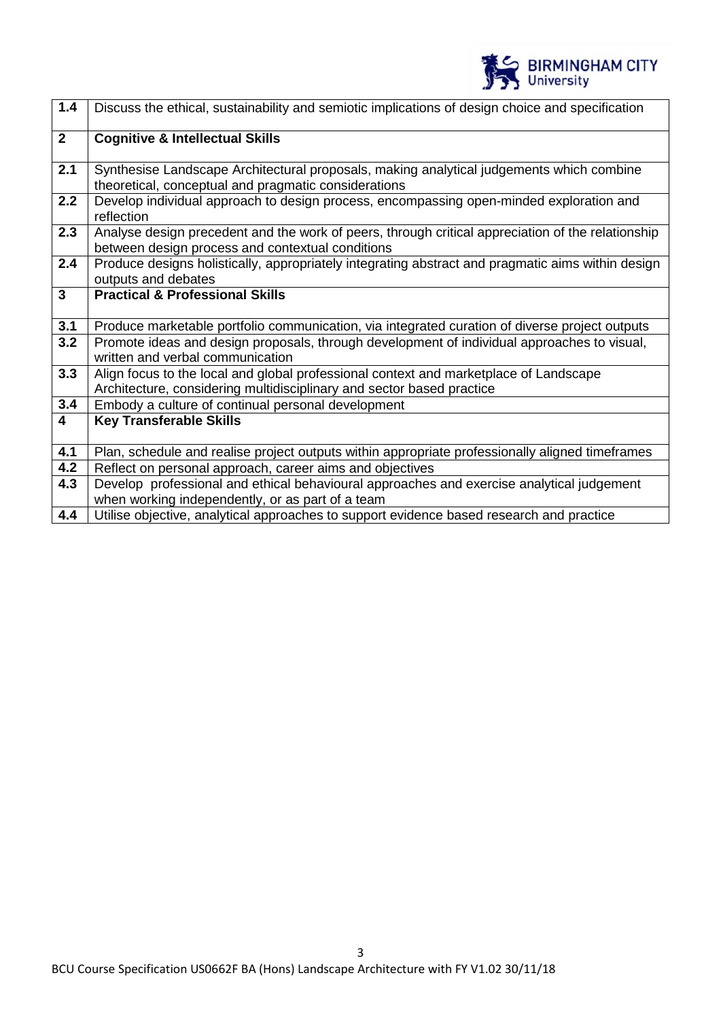

| 1.4                     | Discuss the ethical, sustainability and semiotic implications of design choice and specification                                                      |
|-------------------------|-------------------------------------------------------------------------------------------------------------------------------------------------------|
| $\mathbf{2}$            | <b>Cognitive &amp; Intellectual Skills</b>                                                                                                            |
| 2.1                     | Synthesise Landscape Architectural proposals, making analytical judgements which combine<br>theoretical, conceptual and pragmatic considerations      |
| 2.2                     | Develop individual approach to design process, encompassing open-minded exploration and<br>reflection                                                 |
| 2.3                     | Analyse design precedent and the work of peers, through critical appreciation of the relationship<br>between design process and contextual conditions |
| 2.4                     | Produce designs holistically, appropriately integrating abstract and pragmatic aims within design<br>outputs and debates                              |
| $\mathbf{3}$            | <b>Practical &amp; Professional Skills</b>                                                                                                            |
| 3.1                     | Produce marketable portfolio communication, via integrated curation of diverse project outputs                                                        |
| 3.2                     | Promote ideas and design proposals, through development of individual approaches to visual,<br>written and verbal communication                       |
| 3.3                     | Align focus to the local and global professional context and marketplace of Landscape                                                                 |
|                         | Architecture, considering multidisciplinary and sector based practice                                                                                 |
| 3.4                     | Embody a culture of continual personal development                                                                                                    |
| $\overline{\mathbf{4}}$ | <b>Key Transferable Skills</b>                                                                                                                        |
| 4.1                     | Plan, schedule and realise project outputs within appropriate professionally aligned timeframes                                                       |
| 4.2                     | Reflect on personal approach, career aims and objectives                                                                                              |
| 4.3                     | Develop professional and ethical behavioural approaches and exercise analytical judgement<br>when working independently, or as part of a team         |
| 4.4                     | Utilise objective, analytical approaches to support evidence based research and practice                                                              |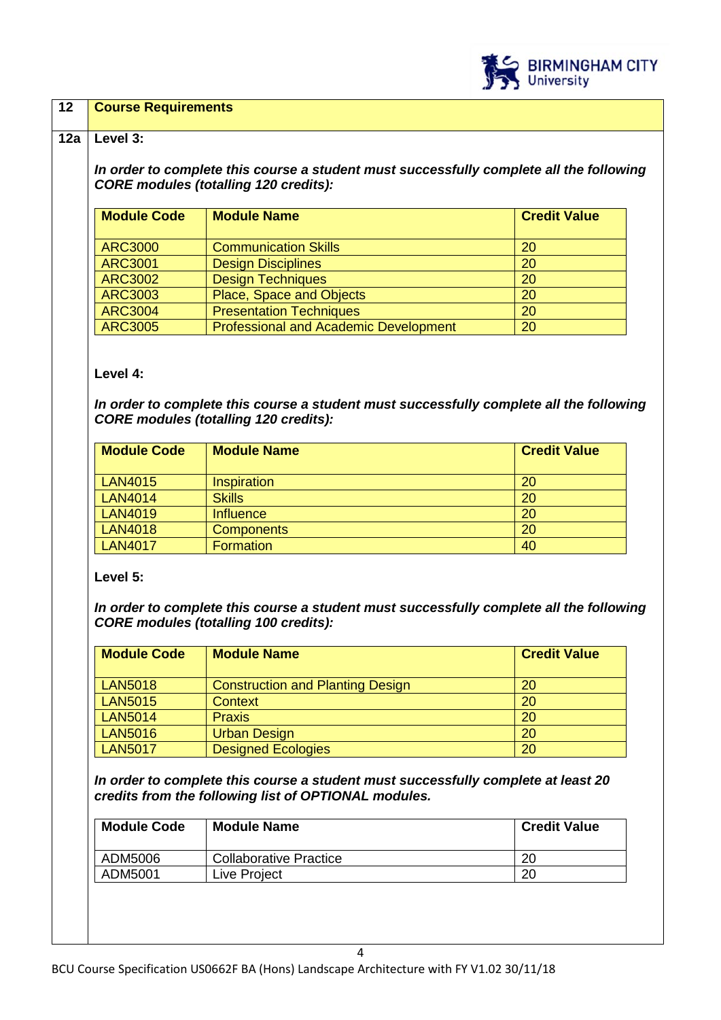

## **12 Course Requirements**

#### **12a Level 3:**

*In order to complete this course a student must successfully complete all the following CORE modules (totalling 120 credits):*

| <b>Module Code</b> | <b>Module Name</b>                           | <b>Credit Value</b> |
|--------------------|----------------------------------------------|---------------------|
| <b>ARC3000</b>     | <b>Communication Skills</b>                  | 20                  |
| <b>ARC3001</b>     | <b>Design Disciplines</b>                    | 20                  |
| <b>ARC3002</b>     | <b>Design Techniques</b>                     | 20                  |
| <b>ARC3003</b>     | Place, Space and Objects                     | 20                  |
| <b>ARC3004</b>     | <b>Presentation Techniques</b>               | 20                  |
| <b>ARC3005</b>     | <b>Professional and Academic Development</b> | 20                  |

#### **Level 4:**

*In order to complete this course a student must successfully complete all the following CORE modules (totalling 120 credits):*

| <b>Module Code</b> | <b>Module Name</b> | <b>Credit Value</b> |
|--------------------|--------------------|---------------------|
| <b>LAN4015</b>     | Inspiration        | 20                  |
| <b>LAN4014</b>     | <b>Skills</b>      | 20                  |
| <b>LAN4019</b>     | Influence          | 20                  |
| <b>LAN4018</b>     | <b>Components</b>  | 20                  |
| <b>LAN4017</b>     | <b>Formation</b>   | 40                  |

**Level 5:**

*In order to complete this course a student must successfully complete all the following CORE modules (totalling 100 credits):*

| <b>Module Code</b> | <b>Module Name</b>                      | <b>Credit Value</b> |
|--------------------|-----------------------------------------|---------------------|
| <b>LAN5018</b>     | <b>Construction and Planting Design</b> | 20                  |
| <b>LAN5015</b>     | <b>Context</b>                          | 20                  |
| <b>LAN5014</b>     | <b>Praxis</b>                           | <b>20</b>           |
| <b>LAN5016</b>     | <b>Urban Design</b>                     | 20                  |
| <b>LAN5017</b>     | <b>Designed Ecologies</b>               | 20                  |

*In order to complete this course a student must successfully complete at least 20 credits from the following list of OPTIONAL modules.* 

| <b>Module Code</b> | <b>Module Name</b>            | <b>Credit Value</b> |
|--------------------|-------------------------------|---------------------|
| ADM5006            | <b>Collaborative Practice</b> | 20                  |
| ADM5001            | Live Project                  | 20                  |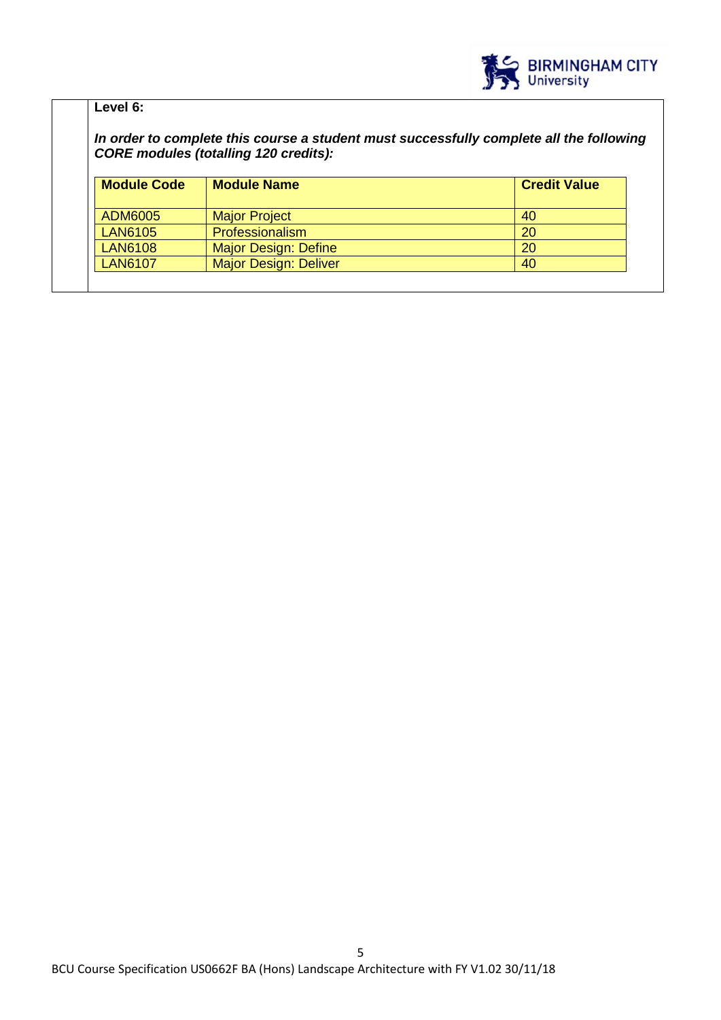

## **Level 6:**

*In order to complete this course a student must successfully complete all the following CORE modules (totalling 120 credits):*

| <b>Module Code</b> | <b>Module Name</b>           | <b>Credit Value</b> |
|--------------------|------------------------------|---------------------|
| ADM6005            | <b>Major Project</b>         | 40                  |
| <b>LAN6105</b>     | Professionalism              | 20                  |
| <b>LAN6108</b>     | Major Design: Define         | 20                  |
| <b>LAN6107</b>     | <b>Major Design: Deliver</b> | 40                  |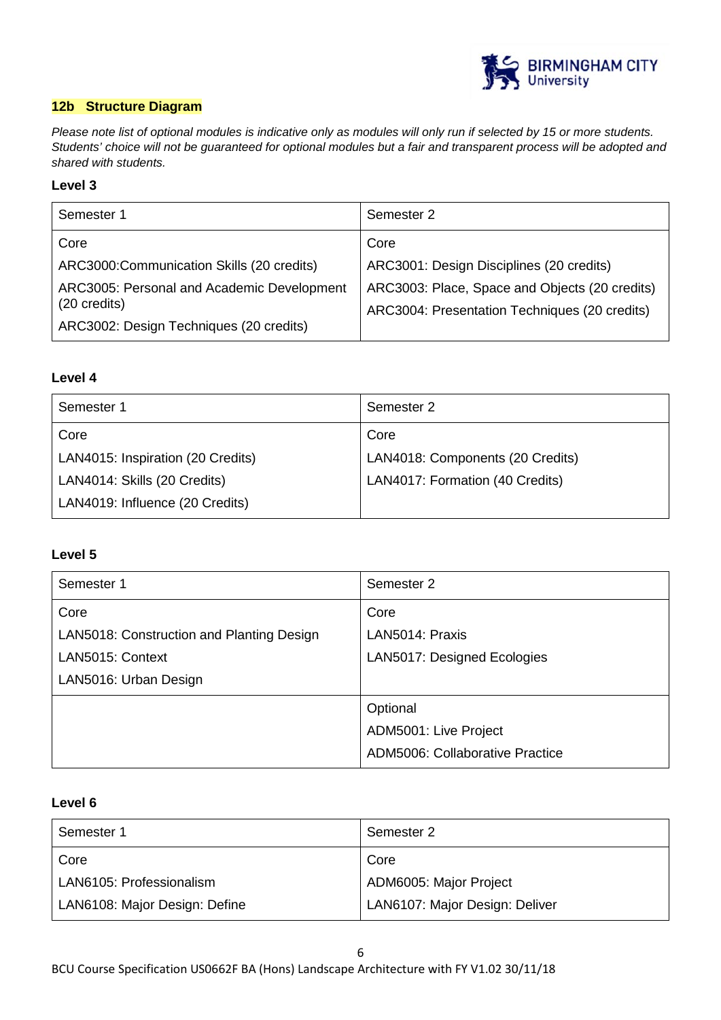

## **12b Structure Diagram**

*Please note list of optional modules is indicative only as modules will only run if selected by 15 or more students. Students' choice will not be guaranteed for optional modules but a fair and transparent process will be adopted and shared with students.*

## **Level 3**

| Semester 1                                                           | Semester 2                                                                                      |
|----------------------------------------------------------------------|-------------------------------------------------------------------------------------------------|
| Core                                                                 | Core                                                                                            |
| ARC3000:Communication Skills (20 credits)                            | ARC3001: Design Disciplines (20 credits)                                                        |
| ARC3005: Personal and Academic Development<br>$(20 \text{ credits})$ | ARC3003: Place, Space and Objects (20 credits)<br>ARC3004: Presentation Techniques (20 credits) |
| ARC3002: Design Techniques (20 credits)                              |                                                                                                 |

## **Level 4**

| Semester 1                        | Semester 2                       |
|-----------------------------------|----------------------------------|
| Core                              | Core                             |
| LAN4015: Inspiration (20 Credits) | LAN4018: Components (20 Credits) |
| LAN4014: Skills (20 Credits)      | LAN4017: Formation (40 Credits)  |
| LAN4019: Influence (20 Credits)   |                                  |

## **Level 5**

| Semester 1                                | Semester 2                      |
|-------------------------------------------|---------------------------------|
| Core                                      | Core                            |
| LAN5018: Construction and Planting Design | LAN5014: Praxis                 |
| LAN5015: Context                          | LAN5017: Designed Ecologies     |
| LAN5016: Urban Design                     |                                 |
|                                           | Optional                        |
|                                           | ADM5001: Live Project           |
|                                           | ADM5006: Collaborative Practice |

## **Level 6**

| Semester 1                    | Semester 2                     |
|-------------------------------|--------------------------------|
| Core                          | Core                           |
| LAN6105: Professionalism      | ADM6005: Major Project         |
| LAN6108: Major Design: Define | LAN6107: Major Design: Deliver |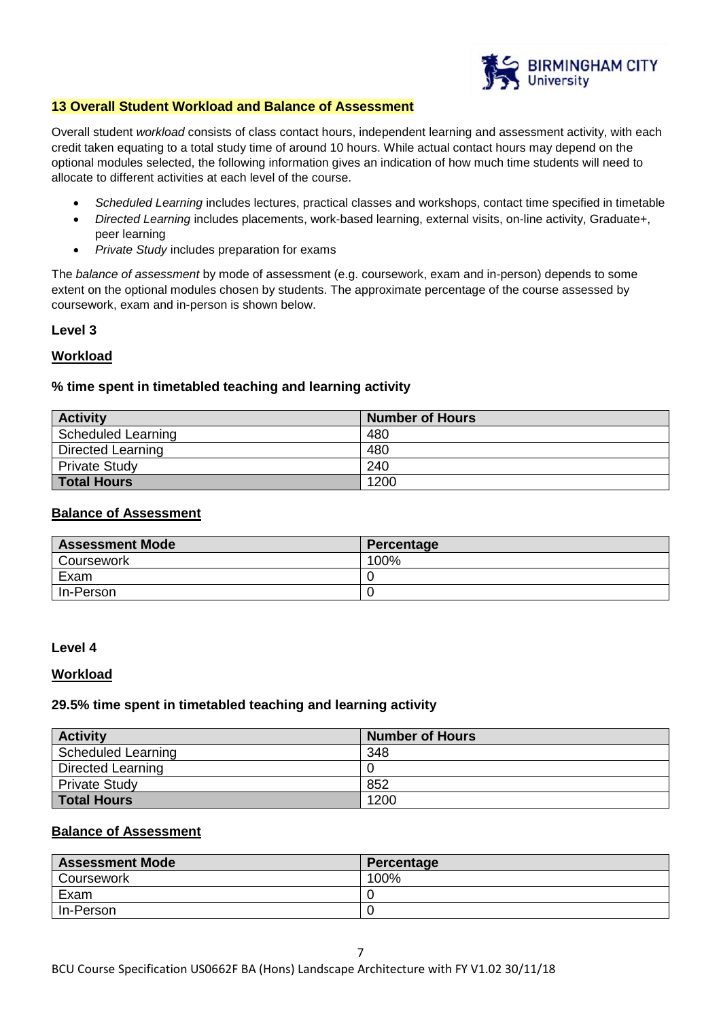

#### **13 Overall Student Workload and Balance of Assessment**

Overall student *workload* consists of class contact hours, independent learning and assessment activity, with each credit taken equating to a total study time of around 10 hours. While actual contact hours may depend on the optional modules selected, the following information gives an indication of how much time students will need to allocate to different activities at each level of the course.

- *Scheduled Learning* includes lectures, practical classes and workshops, contact time specified in timetable
- *Directed Learning* includes placements, work-based learning, external visits, on-line activity, Graduate+, peer learning
- *Private Study* includes preparation for exams

The *balance of assessment* by mode of assessment (e.g. coursework, exam and in-person) depends to some extent on the optional modules chosen by students. The approximate percentage of the course assessed by coursework, exam and in-person is shown below.

## **Level 3**

## **Workload**

## **% time spent in timetabled teaching and learning activity**

| <b>Activity</b>      | <b>Number of Hours</b> |
|----------------------|------------------------|
| Scheduled Learning   | 480                    |
| Directed Learning    | 480                    |
| <b>Private Study</b> | 240                    |
| <b>Total Hours</b>   | 1200                   |

#### **Balance of Assessment**

| <b>Assessment Mode</b> | Percentage |
|------------------------|------------|
| Coursework             | 100%       |
| Exam                   |            |
| In-Person              |            |

#### **Level 4**

#### **Workload**

#### **29.5% time spent in timetabled teaching and learning activity**

| <b>Activity</b>      | <b>Number of Hours</b> |
|----------------------|------------------------|
| Scheduled Learning   | 348                    |
| Directed Learning    |                        |
| <b>Private Study</b> | 852                    |
| <b>Total Hours</b>   | 1200                   |

#### **Balance of Assessment**

| <b>Assessment Mode</b> | Percentage |
|------------------------|------------|
| Coursework             | 100%       |
| Exam                   |            |
| In-Person              |            |